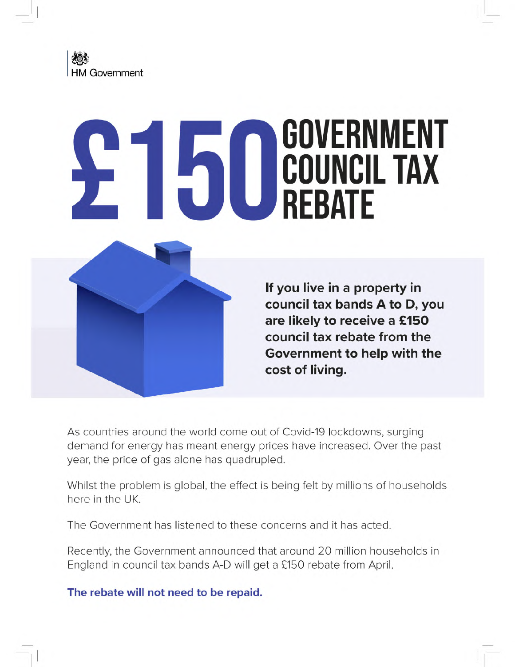

# **GOVERNMENT COUNCIL TAX**



**If you live in a property in council tax bands A to D, you are likely to receive a £150 council tax rebate from the Government to help with the cost of living.**

As countries around the world come out of Covid-19 lockdowns, surging demand for energy has meant energy prices have increased. Over the past year, the price of gas alone has quadrupled.

Whilst the problem is global, the effect is being felt by millions of households here in the UK.

The Government has listened to these concerns and it has acted.

Recently, the Government announced that around 20 million households in England in council tax bands A-D will get a £150 rebate from April.

**The rebate will not need to be repaid.**